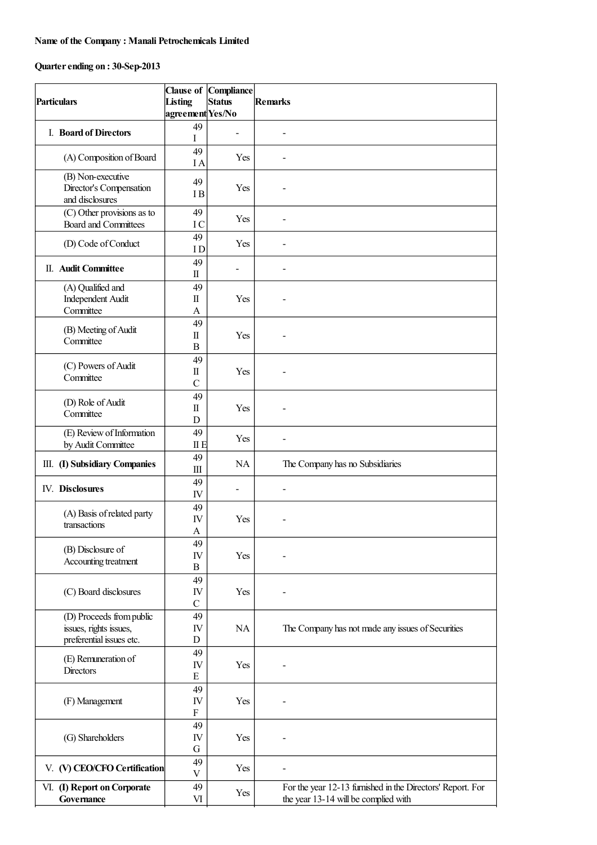## **Name of the Company : Manali Petrochemicals Limited**

## **Quarterending on : 30-Sep-2013**

| <b>Particulars</b> |                                                                                | Listing<br>agreement Yes/No                    | <b>Clause of Compliance</b><br><b>Status</b> | <b>Remarks</b>                                                                                     |
|--------------------|--------------------------------------------------------------------------------|------------------------------------------------|----------------------------------------------|----------------------------------------------------------------------------------------------------|
|                    | I. Board of Directors                                                          | 49<br>I                                        |                                              | $\overline{\phantom{0}}$                                                                           |
|                    | (A) Composition of Board                                                       | 49<br>I A                                      | Yes                                          | $\overline{\phantom{0}}$                                                                           |
|                    | (B) Non-executive<br>Director's Compensation<br>and disclosures                | 49<br>I <sub>B</sub>                           | Yes                                          |                                                                                                    |
|                    | (C) Other provisions as to<br><b>Board and Committees</b>                      | 49<br>IC                                       | Yes                                          | $\blacksquare$                                                                                     |
|                    | (D) Code of Conduct                                                            | 49<br>ID                                       | Yes                                          |                                                                                                    |
|                    | II. Audit Committee                                                            | 49<br>П                                        | $\overline{a}$                               |                                                                                                    |
|                    | (A) Qualified and<br><b>Independent Audit</b><br>Committee                     | 49<br>$\rm{I\hspace{-.1em}I}$<br>A             | Yes                                          |                                                                                                    |
|                    | (B) Meeting of Audit<br>Committee                                              | 49<br>$\rm{I\hspace{-.1em}I}$<br>B             | Yes                                          | -                                                                                                  |
|                    | (C) Powers of Audit<br>Committee                                               | 49<br>$\rm{I\hspace{-.1em}I}$<br>$\mathcal{C}$ | Yes                                          | -                                                                                                  |
|                    | (D) Role of Audit<br>Committee                                                 | 49<br>$\rm{I\hspace{-.1em}I}$<br>D             | Yes                                          |                                                                                                    |
|                    | (E) Review of Information<br>by Audit Committee                                | 49<br>II E                                     | Yes                                          | ۰                                                                                                  |
|                    | III. (I) Subsidiary Companies                                                  | 49<br>Ш                                        | NA                                           | The Company has no Subsidiaries                                                                    |
|                    | IV. Disclosures                                                                | 49<br>IV                                       | $\qquad \qquad \blacksquare$                 | $\overline{\phantom{0}}$                                                                           |
|                    | (A) Basis of related party<br>transactions                                     | 49<br>IV<br>$\mathbf{A}$                       | Yes                                          |                                                                                                    |
|                    | (B) Disclosure of<br>Accounting treatment                                      | 49<br>IV<br>B                                  | Yes                                          |                                                                                                    |
|                    | (C) Board disclosures                                                          | 49<br>IV<br>$\mathcal{C}$                      | Yes                                          |                                                                                                    |
|                    | (D) Proceeds from public<br>issues, rights issues,<br>preferential issues etc. | 49<br>IV<br>D                                  | NA                                           | The Company has not made any issues of Securities                                                  |
|                    | (E) Remuneration of<br>Directors                                               | 49<br>IV<br>${\bf E}$                          | Yes                                          |                                                                                                    |
|                    | (F) Management                                                                 | 49<br>IV<br>F                                  | Yes                                          |                                                                                                    |
|                    | (G) Shareholders                                                               | 49<br>IV<br>G                                  | Yes                                          |                                                                                                    |
|                    | V. (V) CEO/CFO Certification                                                   | 49<br>$\ensuremath{\mathbf{V}}$                | Yes                                          |                                                                                                    |
|                    | VI. (I) Report on Corporate<br>Governance                                      | 49<br>VI                                       | Yes                                          | For the year 12-13 furnished in the Directors' Report. For<br>the year 13-14 will be complied with |